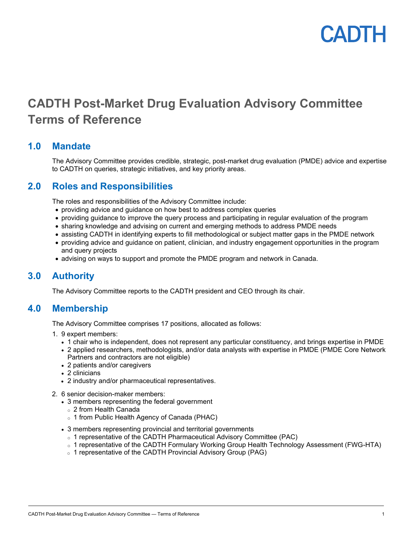

## **CADTH Post-Market Drug Evaluation Advisory Committee Terms of Reference**

### **1.0 Mandate**

The Advisory Committee provides credible, strategic, post-market drug evaluation (PMDE) advice and expertise to CADTH on queries, strategic initiatives, and key priority areas.

## **2.0 Roles and Responsibilities**

The roles and responsibilities of the Advisory Committee include:

- providing advice and guidance on how best to address complex queries
- providing guidance to improve the query process and participating in regular evaluation of the program
- sharing knowledge and advising on current and emerging methods to address PMDE needs
- assisting CADTH in identifying experts to fill methodological or subject matter gaps in the PMDE network
- providing advice and guidance on patient, clinician, and industry engagement opportunities in the program and query projects
- advising on ways to support and promote the PMDE program and network in Canada.

## **3.0 Authority**

The Advisory Committee reports to the CADTH president and CEO through its chair.

## **4.0 Membership**

The Advisory Committee comprises 17 positions, allocated as follows:

- 1. 9 expert members:
	- 1 chair who is independent, does not represent any particular constituency, and brings expertise in PMDE
	- 2 applied researchers, methodologists, and/or data analysts with expertise in PMDE (PMDE Core Network Partners and contractors are not eligible)
	- 2 patients and/or caregivers
	- 2 clinicians
	- 2 industry and/or pharmaceutical representatives.
- 2. 6 senior decision-maker members:
	- 3 members representing the federal government
		- <sup>o</sup> 2 from Health Canada
		- <sup>o</sup> 1 from Public Health Agency of Canada (PHAC)
	- 3 members representing provincial and territorial governments
		- o 1 representative of the CADTH Pharmaceutical Advisory Committee (PAC)
		- o 1 representative of the CADTH Formulary Working Group Health Technology Assessment (FWG-HTA)
		- o 1 representative of the CADTH Provincial Advisory Group (PAG)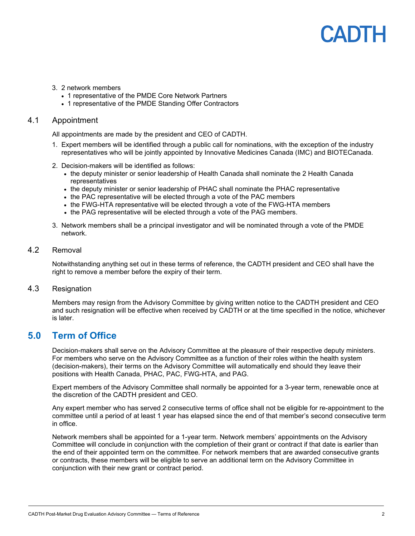## PADIH

- 3. 2 network members
	- 1 representative of the PMDE Core Network Partners
	- 1 representative of the PMDE Standing Offer Contractors

#### 4.1 Appointment

All appointments are made by the president and CEO of CADTH.

- 1. Expert members will be identified through a public call for nominations, with the exception of the industry representatives who will be jointly appointed by Innovative Medicines Canada (IMC) and BIOTECanada.
- 2. Decision-makers will be identified as follows:
	- the deputy minister or senior leadership of Health Canada shall nominate the 2 Health Canada representatives
	- the deputy minister or senior leadership of PHAC shall nominate the PHAC representative
	- the PAC representative will be elected through a vote of the PAC members
	- the FWG-HTA representative will be elected through a vote of the FWG-HTA members
	- the PAG representative will be elected through a vote of the PAG members.
- 3. Network members shall be a principal investigator and will be nominated through a vote of the PMDE network.

#### 4.2 Removal

Notwithstanding anything set out in these terms of reference, the CADTH president and CEO shall have the right to remove a member before the expiry of their term.

#### 4.3 Resignation

Members may resign from the Advisory Committee by giving written notice to the CADTH president and CEO and such resignation will be effective when received by CADTH or at the time specified in the notice, whichever is later.

### **5.0 Term of Office**

Decision-makers shall serve on the Advisory Committee at the pleasure of their respective deputy ministers. For members who serve on the Advisory Committee as a function of their roles within the health system (decision-makers), their terms on the Advisory Committee will automatically end should they leave their positions with Health Canada, PHAC, PAC, FWG-HTA, and PAG.

Expert members of the Advisory Committee shall normally be appointed for a 3-year term, renewable once at the discretion of the CADTH president and CEO.

Any expert member who has served 2 consecutive terms of office shall not be eligible for re-appointment to the committee until a period of at least 1 year has elapsed since the end of that member's second consecutive term in office.

Network members shall be appointed for a 1-year term. Network members' appointments on the Advisory Committee will conclude in conjunction with the completion of their grant or contract if that date is earlier than the end of their appointed term on the committee. For network members that are awarded consecutive grants or contracts, these members will be eligible to serve an additional term on the Advisory Committee in conjunction with their new grant or contract period.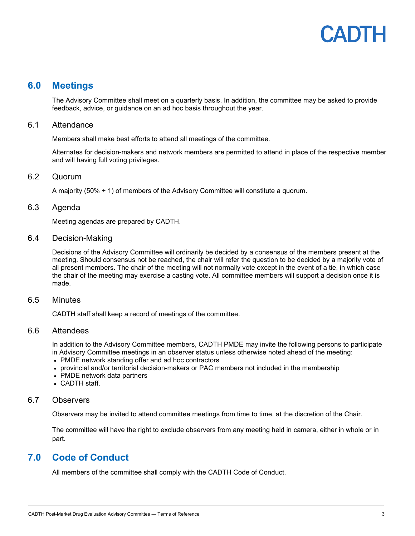# CANTH

### **6.0 Meetings**

The Advisory Committee shall meet on a quarterly basis. In addition, the committee may be asked to provide feedback, advice, or guidance on an ad hoc basis throughout the year.

#### 6.1 Attendance

Members shall make best efforts to attend all meetings of the committee.

Alternates for decision-makers and network members are permitted to attend in place of the respective member and will having full voting privileges.

#### 6.2 Quorum

A majority (50% + 1) of members of the Advisory Committee will constitute a quorum.

#### 6.3 Agenda

Meeting agendas are prepared by CADTH.

#### 6.4 Decision-Making

Decisions of the Advisory Committee will ordinarily be decided by a consensus of the members present at the meeting. Should consensus not be reached, the chair will refer the question to be decided by a majority vote of all present members. The chair of the meeting will not normally vote except in the event of a tie, in which case the chair of the meeting may exercise a casting vote. All committee members will support a decision once it is made.

#### 6.5 Minutes

CADTH staff shall keep a record of meetings of the committee.

#### 6.6 Attendees

In addition to the Advisory Committee members, CADTH PMDE may invite the following persons to participate in Advisory Committee meetings in an observer status unless otherwise noted ahead of the meeting:

- PMDE network standing offer and ad hoc contractors
- provincial and/or territorial decision-makers or PAC members not included in the membership
- PMDE network data partners
- CADTH staff.

#### 6.7 Observers

Observers may be invited to attend committee meetings from time to time, at the discretion of the Chair.

The committee will have the right to exclude observers from any meeting held in camera, either in whole or in part.

## **7.0 Code of Conduct**

All members of the committee shall comply with the CADTH Code of Conduct.